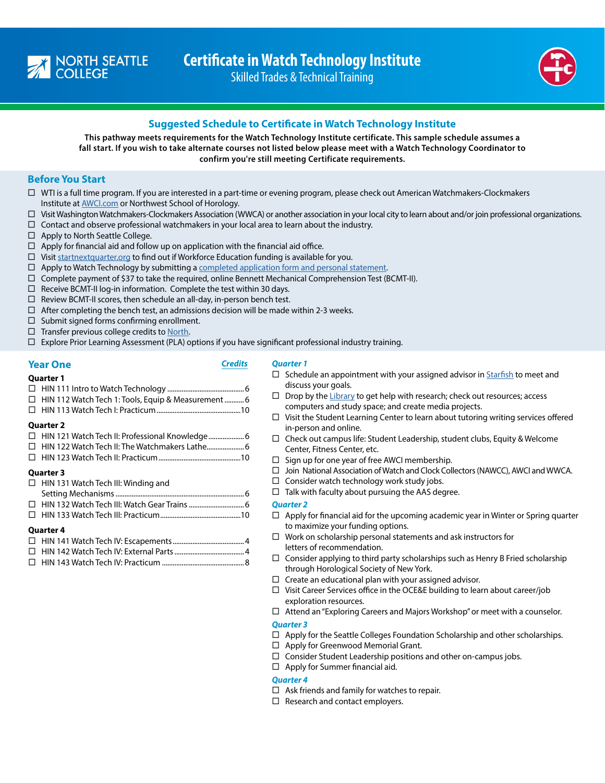





# **Suggested Schedule to Certificate in Watch Technology Institute**

**This pathway meets requirements for the Watch Technology Institute certificate. This sample schedule assumes a fall start. If you wish to take alternate courses not listed below please meet with a Watch Technology Coordinator to confirm you're still meeting Certificate requirements.** 

# **Before You Start**

- $\Box$  WTI is a full time program. If you are interested in a part-time or evening program, please check out American Watchmakers-Clockmakers Institute at [AWCI.com](http://AWCI.com) or Northwest School of Horology.
- $\Box$  Visit Washington Watchmakers-Clockmakers Association (WWCA) or another association in your local city to learn about and/or join professional organizations.
- $\Box$  Contact and observe professional watchmakers in your local area to learn about the industry.
- $\Box$  Apply to North Seattle College.
- $\Box$  Apply for financial aid and follow up on application with the financial aid office.
- $\Box$  Visit [startnextquarter.org](http://startnextquarter.org) to find out if Workforce Education funding is available for you.
- $\Box$  Apply to Watch Technology by submitting a [completed application form and personal statement](https://northseattle.edu/programs/watch-technology-institute).
- $\Box$  Complete payment of \$37 to take the required, online Bennett Mechanical Comprehension Test (BCMT-II).
- $\Box$  Receive BCMT-II log-in information. Complete the test within 30 days.
- $\Box$  Review BCMT-II scores, then schedule an all-day, in-person bench test.
- $\Box$  After completing the bench test, an admissions decision will be made within 2-3 weeks.
- $\Box$  Submit signed forms confirming enrollment.
- $\Box$  Transfer previous college credits to [North.](https://northseattle.edu/credentials)
- $\Box$  Explore Prior Learning Assessment (PLA) options if you have significant professional industry training.

# **Year One** *Credits*

# *Quarter 1*

**Quarter 1** HIN 111 Intro to Watch Technology ...........................................6 □ HIN 112 Watch Tech 1: Tools, Equip & Measurement.............6 HIN 113 Watch Tech I: Practicum...............................................10 **Quarter 2** □ HIN 121 Watch Tech II: Professional Knowledge....................... 6 □ HIN 122 Watch Tech II: The Watchmakers Lathe........................ 6 HIN 123 Watch Tech II: Practicum..............................................10 **Quarter 3**   $\Box$  HIN 131 Watch Tech III: Winding and Setting Mechanisms........................................................................6 HIN 132 Watch Tech III: Watch Gear Trains...............................6 HIN 133 Watch Tech III: Practicum.............................................10

#### **Quarter 4**

HIN 143 Watch Tech IV: Practicum ..............................................8

- $\square$  Schedule an appointment with your assigned advisor in [Starfish](http://bit.ly/Starfishlogin) to meet and discuss your goals.
- $\Box$  Drop by the [Library](https://libguides.northseattle.edu/welcome) to get help with research; check out resources; access computers and study space; and create media projects.
- $\Box$  Visit the Student Learning Center to learn about tutoring writing services offered in-person and online.
- $\Box$  Check out campus life: Student Leadership, student clubs, Equity & Welcome Center, Fitness Center, etc.
- $\Box$  Sign up for one year of free AWCI membership.
- □ Join National Association of Watch and Clock Collectors (NAWCC), AWCI and WWCA.
- $\Box$  Consider watch technology work study jobs.
- $\Box$  Talk with faculty about pursuing the AAS degree.

# *Quarter 2*

- $\Box$  Apply for financial aid for the upcoming academic year in Winter or Spring quarter to maximize your funding options.
- $\Box$  Work on scholarship personal statements and ask instructors for letters of recommendation.
- $\Box$  Consider applying to third party scholarships such as Henry B Fried scholarship through Horological Society of New York.
- $\Box$  Create an educational plan with your assigned advisor.
- $\Box$  Visit Career Services office in the OCE&E building to learn about career/job exploration resources.
- $\Box$  Attend an "Exploring Careers and Majors Workshop" or meet with a counselor.

# *Quarter 3*

- $\Box$  Apply for the Seattle Colleges Foundation Scholarship and other scholarships.
- $\Box$  Apply for Greenwood Memorial Grant.
- $\square$  Consider Student Leadership positions and other on-campus jobs.
- $\Box$  Apply for Summer financial aid.

# *Quarter 4*

- $\Box$  Ask friends and family for watches to repair.
- $\Box$  Research and contact employers.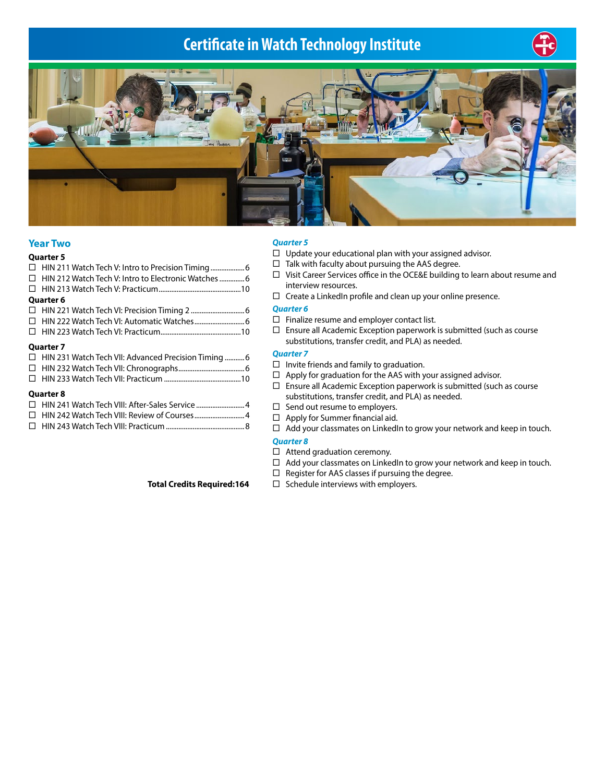# **Certificate in Watch Technology Institute**





# **Year Two**

| <b>Quarter 5</b>                                                                                                                                                                                                                |  |
|---------------------------------------------------------------------------------------------------------------------------------------------------------------------------------------------------------------------------------|--|
|                                                                                                                                                                                                                                 |  |
|                                                                                                                                                                                                                                 |  |
|                                                                                                                                                                                                                                 |  |
| <b>Quarter 6</b>                                                                                                                                                                                                                |  |
|                                                                                                                                                                                                                                 |  |
|                                                                                                                                                                                                                                 |  |
|                                                                                                                                                                                                                                 |  |
| <b>Quarter 7</b>                                                                                                                                                                                                                |  |
| $\Box$ HIN 231 Watch Tech VII: Advanced Precision Timing 6                                                                                                                                                                      |  |
| $\sim$ . The contract of the contract of the contract of the contract of the contract of the contract of the contract of the contract of the contract of the contract of the contract of the contract of the contract of the co |  |

#### **Quarter 8**

| □ HIN 241 Watch Tech VIII: After-Sales Service 4 |  |
|--------------------------------------------------|--|
|                                                  |  |
| $\Box$ HIN 243 Watch Toch VIII: Dracticum        |  |

#### *Quarter 5*

- $\Box$  Update your educational plan with your assigned advisor.
- $\Box$  Talk with faculty about pursuing the AAS degree.
- Visit Career Services office in the OCE&E building to learn about resume and interview resources.
- $\Box$  Create a LinkedIn profile and clean up your online presence.

# *Quarter 6*

- $\Box$  Finalize resume and employer contact list.
- $\Box$  Ensure all Academic Exception paperwork is submitted (such as course substitutions, transfer credit, and PLA) as needed.

# *Quarter 7*

- $\Box$  Invite friends and family to graduation.
- $\Box$  Apply for graduation for the AAS with your assigned advisor.
- $\Box$  Ensure all Academic Exception paperwork is submitted (such as course substitutions, transfer credit, and PLA) as needed.
- $\Box$  Send out resume to employers.
- $\Box$  Apply for Summer financial aid.
- $\Box$  Add your classmates on LinkedIn to grow your network and keep in touch.

#### *Quarter 8*

- $\Box$  Attend graduation ceremony.
- $\Box$  Add your classmates on LinkedIn to grow your network and keep in touch.
- $\Box$  Register for AAS classes if pursuing the degree.
- **Total Credits Required:164** □ Schedule interviews with employers.